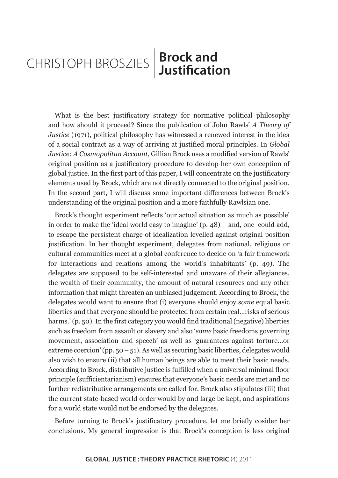## **Brock and**  CHRISTOPH BROSZIES | **BIOCK allu**

What is the best justificatory strategy for normative political philosophy and how should it proceed? Since the publication of John Rawls' *A Theory of Justice* (1971), political philosophy has witnessed a renewed interest in the idea of a social contract as a way of arriving at justified moral principles. In *Global Justice: A Cosmopolitan Account*, Gillian Brock uses a modified version of Rawls' original position as a justificatory procedure to develop her own conception of global justice. In the first part of this paper, I will concentrate on the justificatory elements used by Brock, which are not directly connected to the original position. In the second part, I will discuss some important differences between Brock's understanding of the original position and a more faithfully Rawlsian one.

Brock's thought experiment reflects 'our actual situation as much as possible' in order to make the 'ideal world easy to imagine' (p. 48) – and, one could add, to escape the persistent charge of idealization levelled against original position justification. In her thought experiment, delegates from national, religious or cultural communities meet at a global conference to decide on 'a fair framework for interactions and relations among the world's inhabitants' (p. 49). The delegates are supposed to be self-interested and unaware of their allegiances, the wealth of their community, the amount of natural resources and any other information that might threaten an unbiased judgement. According to Brock, the delegates would want to ensure that (i) everyone should enjoy *some* equal basic liberties and that everyone should be protected from certain real…risks of serious harms.' (p. 50). In the first category you would find traditional (negative) liberties such as freedom from assault or slavery and also '*some* basic freedoms governing movement, association and speech' as well as 'guarantees against torture…or extreme coercion' (pp.  $50 - 51$ ). As well as securing basic liberties, delegates would also wish to ensure (ii) that all human beings are able to meet their basic needs. According to Brock, distributive justice is fulfilled when a universal minimal floor principle (sufficientarianism) ensures that everyone's basic needs are met and no further redistributive arrangements are called for. Brock also stipulates (iii) that the current state-based world order would by and large be kept, and aspirations for a world state would not be endorsed by the delegates.

Before turning to Brock's justificatory procedure, let me briefly cosider her conclusions. My general impression is that Brock's conception is less original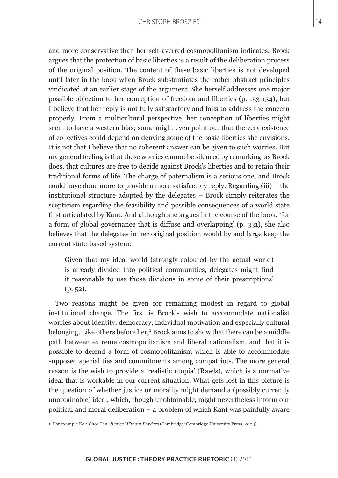and more conservative than her self-averred cosmopolitanism indicates. Brock argues that the protection of basic liberties is a result of the deliberation process of the original position. The content of these basic liberties is not developed until later in the book when Brock substantiates the rather abstract principles vindicated at an earlier stage of the argument. She herself addresses one major possible objection to her conception of freedom and liberties (p. 153-154), but I believe that her reply is not fully satisfactory and fails to address the concern properly. From a multicultural perspective, her conception of liberties might seem to have a western bias; some might even point out that the very existence of collectives could depend on denying some of the basic liberties she envisions. It is not that I believe that no coherent answer can be given to such worries. But my general feeling is that these worries cannot be silenced by remarking, as Brock does, that cultures are free to decide against Brock's liberties and to retain their traditional forms of life. The charge of paternalism is a serious one, and Brock could have done more to provide a more satisfactory reply. Regarding (iii) – the institutional structure adopted by the delegates – Brock simply reiterates the scepticism regarding the feasibility and possible consequences of a world state first articulated by Kant. And although she argues in the course of the book, 'for a form of global governance that is diffuse and overlapping' (p. 331), she also believes that the delegates in her original position would by and large keep the current state-based system:

Given that my ideal world (strongly coloured by the actual world) is already divided into political communities, delegates might find it reasonable to use those divisions in some of their prescriptions' (p. 52).

Two reasons might be given for remaining modest in regard to global institutional change. The first is Brock's wish to accommodate nationalist worries about identity, democracy, individual motivation and especially cultural belonging. Like others before her,<sup>1</sup> Brock aims to show that there can be a middle path between extreme cosmopolitanism and liberal nationalism, and that it is possible to defend a form of cosmopolitanism which is able to accommodate supposed special ties and commitments among compatriots. The more general reason is the wish to provide a 'realistic utopia' (Rawls), which is a normative ideal that is workable in our current situation. What gets lost in this picture is the question of whether justice or morality might demand a (possibly currently unobtainable) ideal, which, though unobtainable, might nevertheless inform our political and moral deliberation – a problem of which Kant was painfully aware

<sup>1.</sup> For example Kok-Chor Tan, *Justice Without Borders* (Cambridge: Cambridge University Press, 2004).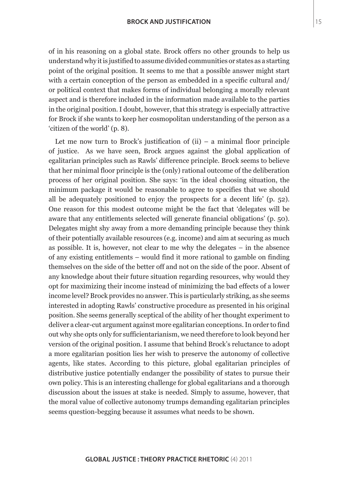of in his reasoning on a global state. Brock offers no other grounds to help us understand why it is justified to assume divided communities or states as a starting point of the original position. It seems to me that a possible answer might start with a certain conception of the person as embedded in a specific cultural and/ or political context that makes forms of individual belonging a morally relevant aspect and is therefore included in the information made available to the parties in the original position. I doubt, however, that this strategy is especially attractive for Brock if she wants to keep her cosmopolitan understanding of the person as a 'citizen of the world' (p. 8).

Let me now turn to Brock's justification of  $(ii)$  – a minimal floor principle of justice. As we have seen, Brock argues against the global application of egalitarian principles such as Rawls' difference principle. Brock seems to believe that her minimal floor principle is the (only) rational outcome of the deliberation process of her original position. She says: 'in the ideal choosing situation, the minimum package it would be reasonable to agree to specifies that we should all be adequately positioned to enjoy the prospects for a decent life' (p. 52). One reason for this modest outcome might be the fact that 'delegates will be aware that any entitlements selected will generate financial obligations' (p. 50). Delegates might shy away from a more demanding principle because they think of their potentially available resources (e.g. income) and aim at securing as much as possible. It is, however, not clear to me why the delegates – in the absence of any existing entitlements – would find it more rational to gamble on finding themselves on the side of the better off and not on the side of the poor. Absent of any knowledge about their future situation regarding resources, why would they opt for maximizing their income instead of minimizing the bad effects of a lower income level? Brock provides no answer. This is particularly striking, as she seems interested in adopting Rawls' constructive procedure as presented in his original position. She seems generally sceptical of the ability of her thought experiment to deliver a clear-cut argument against more egalitarian conceptions. In order to find out why she opts only for sufficientarianism, we need therefore to look beyond her version of the original position. I assume that behind Brock's reluctance to adopt a more egalitarian position lies her wish to preserve the autonomy of collective agents, like states. According to this picture, global egalitarian principles of distributive justice potentially endanger the possibility of states to pursue their own policy. This is an interesting challenge for global egalitarians and a thorough discussion about the issues at stake is needed. Simply to assume, however, that the moral value of collective autonomy trumps demanding egalitarian principles seems question-begging because it assumes what needs to be shown.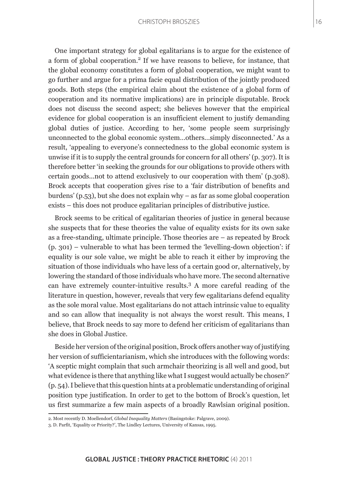One important strategy for global egalitarians is to argue for the existence of a form of global cooperation.<sup>2</sup> If we have reasons to believe, for instance, that the global economy constitutes a form of global cooperation, we might want to go further and argue for a prima facie equal distribution of the jointly produced goods. Both steps (the empirical claim about the existence of a global form of cooperation and its normative implications) are in principle disputable. Brock does not discuss the second aspect; she believes however that the empirical evidence for global cooperation is an insufficient element to justify demanding global duties of justice. According to her, 'some people seem surprisingly unconnected to the global economic system…others…simply disconnected.' As a result, 'appealing to everyone's connectedness to the global economic system is unwise if it is to supply the central grounds for concern for all others' (p. 307). It is therefore better 'in seeking the grounds for our obligations to provide others with certain goods...not to attend exclusively to our cooperation with them' (p.308). Brock accepts that cooperation gives rise to a 'fair distribution of benefits and burdens' (p.53), but she does not explain why – as far as some global cooperation exists – this does not produce egalitarian principles of distributive justice.

Brock seems to be critical of egalitarian theories of justice in general because she suspects that for these theories the value of equality exists for its own sake as a free-standing, ultimate principle. Those theories are – as repeated by Brock (p. 301) – vulnerable to what has been termed the 'levelling-down objection': if equality is our sole value, we might be able to reach it either by improving the situation of those individuals who have less of a certain good or, alternatively, by lowering the standard of those individuals who have more. The second alternative can have extremely counter-intuitive results.<sup>3</sup> A more careful reading of the literature in question, however, reveals that very few egalitarians defend equality as the sole moral value. Most egalitarians do not attach intrinsic value to equality and so can allow that inequality is not always the worst result. This means, I believe, that Brock needs to say more to defend her criticism of egalitarians than she does in Global Justice.

Beside her version of the original position, Brock offers another way of justifying her version of sufficientarianism, which she introduces with the following words: 'A sceptic might complain that such armchair theorizing is all well and good, but what evidence is there that anything like what I suggest would actually be chosen?' (p. 54). I believe that this question hints at a problematic understanding of original position type justification. In order to get to the bottom of Brock's question, let us first summarize a few main aspects of a broadly Rawlsian original position.

<sup>2.</sup> Most recently D. Moellendorf, *Global Inequality Matters* (Basingstoke: Palgrave, 2009).

<sup>3.</sup> D. Parfit, 'Equality or Priority?', The Lindley Lectures, University of Kansas, 1995.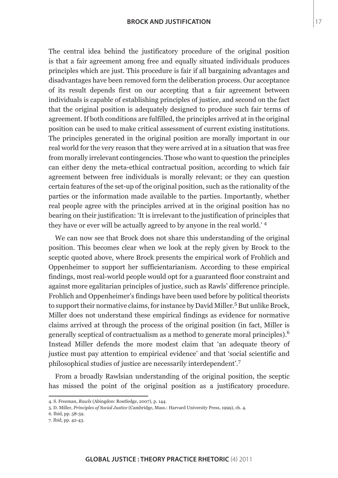The central idea behind the justificatory procedure of the original position is that a fair agreement among free and equally situated individuals produces principles which are just. This procedure is fair if all bargaining advantages and disadvantages have been removed form the deliberation process. Our acceptance of its result depends first on our accepting that a fair agreement between individuals is capable of establishing principles of justice, and second on the fact that the original position is adequately designed to produce such fair terms of agreement. If both conditions are fulfilled, the principles arrived at in the original position can be used to make critical assessment of current existing institutions. The principles generated in the original position are morally important in our real world for the very reason that they were arrived at in a situation that was free from morally irrelevant contingencies. Those who want to question the principles can either deny the meta-ethical contractual position, according to which fair agreement between free individuals is morally relevant; or they can question certain features of the set-up of the original position, such as the rationality of the parties or the information made available to the parties. Importantly, whether real people agree with the principles arrived at in the original position has no bearing on their justification: 'It is irrelevant to the justification of principles that they have or ever will be actually agreed to by anyone in the real world.' <sup>4</sup>

We can now see that Brock does not share this understanding of the original position. This becomes clear when we look at the reply given by Brock to the sceptic quoted above, where Brock presents the empirical work of Frohlich and Oppenheimer to support her sufficientarianism. According to these empirical findings, most real-world people would opt for a guaranteed floor constraint and against more egalitarian principles of justice, such as Rawls' difference principle. Frohlich and Oppenheimer's findings have been used before by political theorists to support their normative claims, for instance by David Miller.<sup>5</sup> But unlike Brock, Miller does not understand these empirical findings as evidence for normative claims arrived at through the process of the original position (in fact, Miller is generally sceptical of contractualism as a method to generate moral principles).6 Instead Miller defends the more modest claim that 'an adequate theory of justice must pay attention to empirical evidence' and that 'social scientific and philosophical studies of justice are necessarily interdependent'.<sup>7</sup>

From a broadly Rawlsian understanding of the original position, the sceptic has missed the point of the original position as a justificatory procedure.

<sup>4.</sup> S. Freeman, *Rawls* (Abingdon: Routledge, 2007), p. 144.

<sup>5.</sup> D. Miller, *Principles of Social Justice* (Cambridge, Mass.: Harvard University Press, 1999), ch. 4.

<sup>6.</sup> Ibid, pp. 58-59.

<sup>7.</sup> Ibid, pp. 42-43.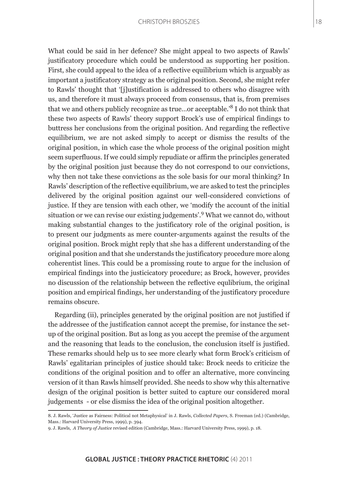What could be said in her defence? She might appeal to two aspects of Rawls' justificatory procedure which could be understood as supporting her position. First, she could appeal to the idea of a reflective equilibrium which is arguably as important a justificatory strategy as the original position. Second, she might refer to Rawls' thought that '[j]ustification is addressed to others who disagree with us, and therefore it must always proceed from consensus, that is, from premises that we and others publicly recognize as true…or acceptable.'8 I do not think that these two aspects of Rawls' theory support Brock's use of empirical findings to buttress her conclusions from the original position. And regarding the reflective equilibrium, we are not asked simply to accept or dismiss the results of the original position, in which case the whole process of the original position might seem superfluous. If we could simply repudiate or affirm the principles generated by the original position just because they do not correspond to our convictions, why then not take these convictions as the sole basis for our moral thinking? In Rawls' description of the reflective equilibrium, we are asked to test the principles delivered by the original position against our well-considered convictions of justice. If they are tension with each other, we 'modify the account of the initial situation or we can revise our existing judgements'.<sup>9</sup> What we cannot do, without making substantial changes to the justificatory role of the original position, is to present our judgments as mere counter-arguments against the results of the original position. Brock might reply that she has a different understanding of the original position and that she understands the justificatory procedure more along coherentist lines. This could be a promissing route to argue for the inclusion of empirical findings into the justicicatory procedure; as Brock, however, provides no discussion of the relationship between the reflective equlibrium, the original position and empirical findings, her understanding of the justificatory procedure remains obscure.

Regarding (ii), principles generated by the original position are not justified if the addressee of the justification cannot accept the premise, for instance the setup of the original position. But as long as you accept the premise of the argument and the reasoning that leads to the conclusion, the conclusion itself is justified. These remarks should help us to see more clearly what form Brock's criticism of Rawls' egalitarian principles of justice should take: Brock needs to criticize the conditions of the original position and to offer an alternative, more convincing version of it than Rawls himself provided. She needs to show why this alternative design of the original position is better suited to capture our considered moral judgements - or else dismiss the idea of the original position altogether.

<sup>8.</sup> J. Rawls, 'Justice as Fairness: Political not Metaphysical' in J. Rawls, *Collected Papers*, S. Freeman (ed.) (Cambridge, Mass.: Harvard University Press, 1999), p. 394.

<sup>9.</sup> J. Rawls, *A Theory of Justice* revised edition (Cambridge, Mass.: Harvard University Press, 1999), p. 18.